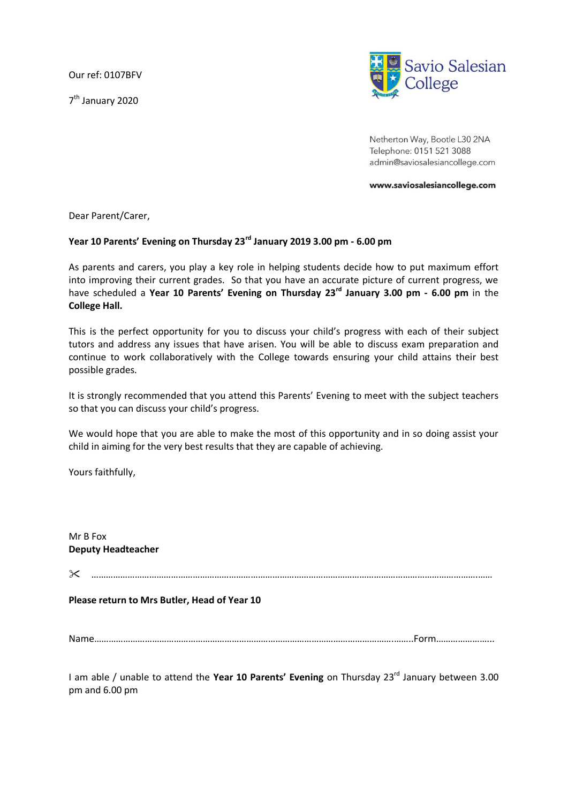Our ref: 0107BFV

7<sup>th</sup> January 2020



Netherton Way, Bootle L30 2NA Telephone: 0151 521 3088 admin@saviosalesiancollege.com

www.saviosalesiancollege.com

Dear Parent/Carer,

## **Year 10 Parents' Evening on Thursday 23rd January 2019 3.00 pm - 6.00 pm**

As parents and carers, you play a key role in helping students decide how to put maximum effort into improving their current grades. So that you have an accurate picture of current progress, we have scheduled a **Year 10 Parents' Evening on Thursday 23rd January 3.00 pm - 6.00 pm** in the **College Hall.**

This is the perfect opportunity for you to discuss your child's progress with each of their subject tutors and address any issues that have arisen. You will be able to discuss exam preparation and continue to work collaboratively with the College towards ensuring your child attains their best possible grades.

It is strongly recommended that you attend this Parents' Evening to meet with the subject teachers so that you can discuss your child's progress.

We would hope that you are able to make the most of this opportunity and in so doing assist your child in aiming for the very best results that they are capable of achieving.

Yours faithfully,

Mr B Fox **Deputy Headteacher**

…………………………………………………………………………………………………………………………………………….……

**Please return to Mrs Butler, Head of Year 10**

Name…………………………………………………………………………………………………………….……..Form…………………...

I am able / unable to attend the **Year 10 Parents' Evening** on Thursday 23<sup>rd</sup> January between 3.00 pm and 6.00 pm